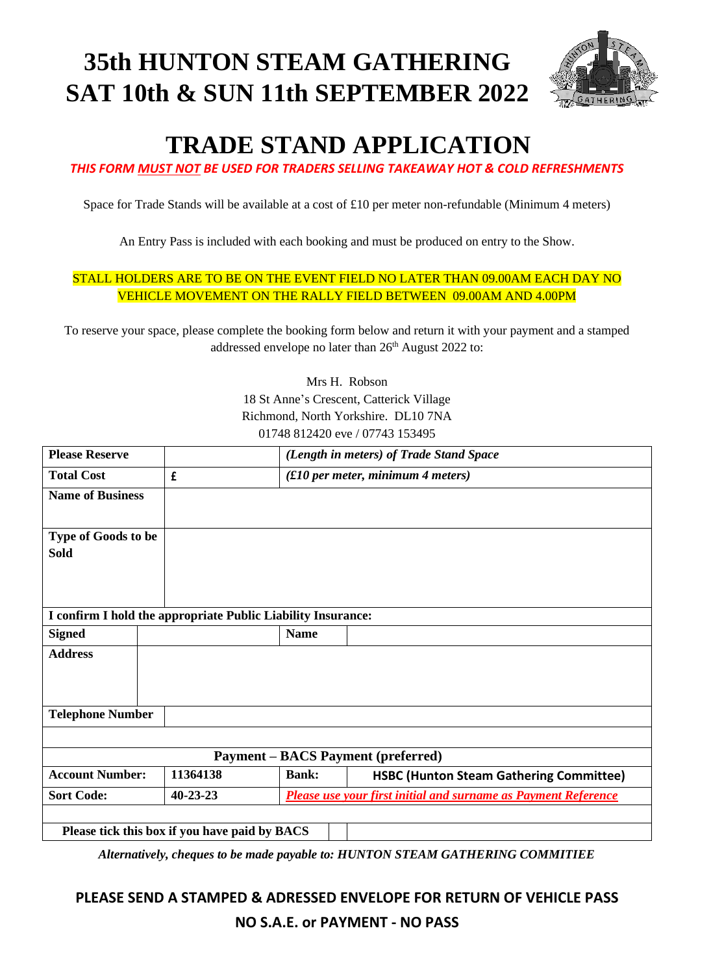# **35th HUNTON STEAM GATHERING SAT 10th & SUN 11th SEPTEMBER 2022**



# **TRADE STAND APPLICATION**

*THIS FORM MUST NOT BE USED FOR TRADERS SELLING TAKEAWAY HOT & COLD REFRESHMENTS*

Space for Trade Stands will be available at a cost of £10 per meter non-refundable (Minimum 4 meters)

An Entry Pass is included with each booking and must be produced on entry to the Show.

#### STALL HOLDERS ARE TO BE ON THE EVENT FIELD NO LATER THAN 09.00AM EACH DAY NO VEHICLE MOVEMENT ON THE RALLY FIELD BETWEEN 09.00AM AND 4.00PM

To reserve your space, please complete the booking form below and return it with your payment and a stamped addressed envelope no later than 26<sup>th</sup> August 2022 to:

> Mrs H. Robson 18 St Anne's Crescent, Catterick Village Richmond, North Yorkshire. DL10 7NA 01748 812420 eve / 07743 153495

| <b>Please Reserve</b>                                        |  |                |              | (Length in meters) of Trade Stand Space                        |  |
|--------------------------------------------------------------|--|----------------|--------------|----------------------------------------------------------------|--|
| <b>Total Cost</b>                                            |  | £              |              | $(E10$ per meter, minimum 4 meters)                            |  |
| <b>Name of Business</b>                                      |  |                |              |                                                                |  |
| Type of Goods to be                                          |  |                |              |                                                                |  |
| <b>Sold</b>                                                  |  |                |              |                                                                |  |
|                                                              |  |                |              |                                                                |  |
|                                                              |  |                |              |                                                                |  |
| I confirm I hold the appropriate Public Liability Insurance: |  |                |              |                                                                |  |
| <b>Signed</b>                                                |  |                | <b>Name</b>  |                                                                |  |
| <b>Address</b>                                               |  |                |              |                                                                |  |
|                                                              |  |                |              |                                                                |  |
|                                                              |  |                |              |                                                                |  |
| <b>Telephone Number</b>                                      |  |                |              |                                                                |  |
|                                                              |  |                |              |                                                                |  |
| <b>Payment – BACS Payment (preferred)</b>                    |  |                |              |                                                                |  |
| <b>Account Number:</b>                                       |  | 11364138       | <b>Bank:</b> | <b>HSBC (Hunton Steam Gathering Committee)</b>                 |  |
| <b>Sort Code:</b>                                            |  | $40 - 23 - 23$ |              | Please use your first initial and surname as Payment Reference |  |
|                                                              |  |                |              |                                                                |  |
| Please tick this box if you have paid by BACS                |  |                |              |                                                                |  |

*Alternatively, cheques to be made payable to: HUNTON STEAM GATHERING COMMITIEE*

# **PLEASE SEND A STAMPED & ADRESSED ENVELOPE FOR RETURN OF VEHICLE PASS NO S.A.E. or PAYMENT - NO PASS**